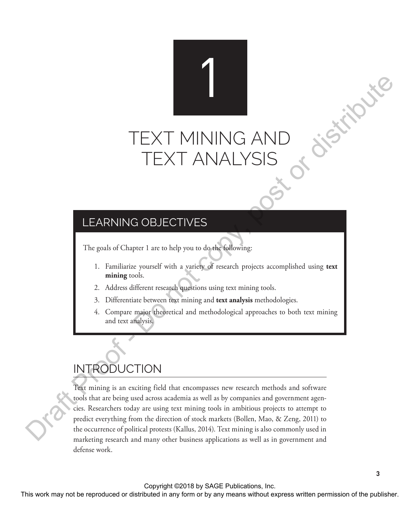

# TEXT MINING AND **TEXT ANALYSI**

# LEARNING OBJECTIVES

The goals of Chapter 1 are to help you to do the following:

- 1. Familiarize yourself with a variety of research projects accomplished using **text mining** tools.
- 2. Address different research questions using text mining tools.
- 3. Differentiate between text mining and **text analysis** methodologies.
- 4. Compare major theoretical and methodological approaches to both text mining and text analysis.

# **INTRODUCTION**

Text mining is an exciting field that encompasses new research methods and software tools that are being used across academia as well as by companies and government agencies. Researchers today are using text mining tools in ambitious projects to attempt to predict everything from the direction of stock markets (Bollen, Mao, & Zeng, 2011) to the occurrence of political protests (Kallus, 2014). Text mining is also commonly used in marketing research and many other business applications as well as in government and defense work. TEXT MINING AND<br>
TEXT ANALYSIS<br>
USE REPRODUCED USE<br>
USE REPRODUCED USE<br>
USE REPRODUCED ON A particle or distributed in any form or by any means when the press means and the publisher.<br>
2. Address of the proof any form or b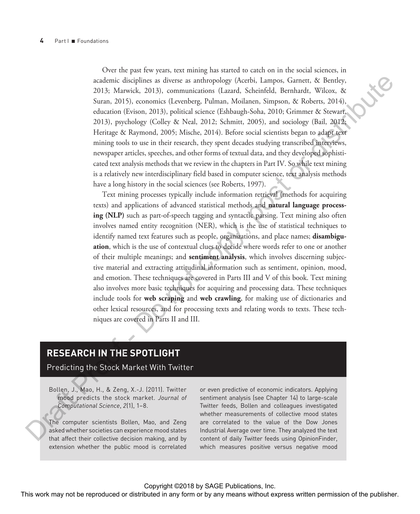Over the past few years, text mining has started to catch on in the social sciences, in academic disciplines as diverse as anthropology (Acerbi, Lampos, Garnett, & Bentley, 2013; Marwick, 2013), communications (Lazard, Scheinfeld, Bernhardt, Wilcox, & Suran, 2015), economics (Levenberg, Pulman, Moilanen, Simpson, & Roberts, 2014), education (Evison, 2013), political science (Eshbaugh-Soha, 2010; Grimmer & Stewart, 2013), psychology (Colley & Neal, 2012; Schmitt, 2005), and sociology (Bail, 2012; Heritage & Raymond, 2005; Mische, 2014). Before social scientists began to adapt text mining tools to use in their research, they spent decades studying transcribed interviews, newspaper articles, speeches, and other forms of textual data, and they developed sophisticated text analysis methods that we review in the chapters in Part IV. So while text mining is a relatively new interdisciplinary field based in computer science, text analysis methods have a long history in the social sciences (see Roberts, 1997).

Text mining processes typically include information retrieval (methods for acquiring texts) and applications of advanced statistical methods and **natural language processing (NLP)** such as part-of-speech tagging and syntactic parsing. Text mining also often involves named entity recognition (NER), which is the use of statistical techniques to identify named text features such as people, organizations, and place names; **disambiguation**, which is the use of contextual clues to decide where words refer to one or another of their multiple meanings; and **sentiment analysis**, which involves discerning subjective material and extracting attitudinal information such as sentiment, opinion, mood, and emotion. These techniques are covered in Parts III and V of this book. Text mining also involves more basic techniques for acquiring and processing data. These techniques include tools for **web scraping** and **web crawling**, for making use of dictionaries and other lexical resources, and for processing texts and relating words to texts. These techniques are covered in Parts II and III. EXERATION THE SPOTLIGHT Results, and solven a substituted in any form or by any form of the reproduced in a substituted in a substituted in a substitute of the publisher and the publisher and the publisher of the publishe

# **RESEARCH IN THE SPOTLIGHT**

#### Predicting the Stock Market With Twitter

Bollen, J., Mao, H., & Zeng, X.-J. (2011). Twitter mood predicts the stock market. *Journal of Computational Science*, *2*(1), 1–8.

The computer scientists Bollen, Mao, and Zeng asked whether societies can experience mood states that affect their collective decision making, and by extension whether the public mood is correlated

or even predictive of economic indicators. Applying sentiment analysis (see Chapter 14) to large-scale Twitter feeds, Bollen and colleagues investigated whether measurements of collective mood states are correlated to the value of the Dow Jones Industrial Average over time. They analyzed the text content of daily Twitter feeds using OpinionFinder, which measures positive versus negative mood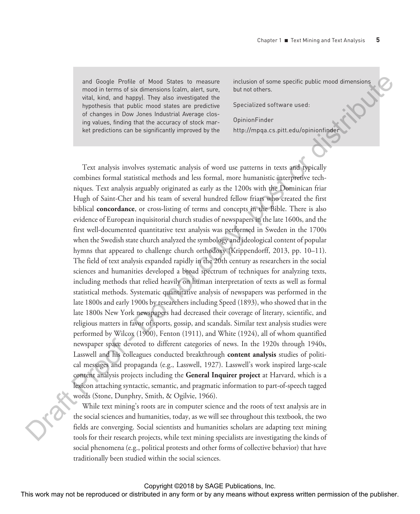and Google Profile of Mood States to measure mood in terms of six dimensions (calm, alert, sure, vital, kind, and happy). They also investigated the hypothesis that public mood states are predictive of changes in Dow Jones Industrial Average closing values, finding that the accuracy of stock market predictions can be significantly improved by the inclusion of some specific public mood dimensions but not others.

Specialized software used:

OpinionFinder http://mpqa.cs.pitt.edu/opinionfinder

Text analysis involves systematic analysis of word use patterns in texts and typically combines formal statistical methods and less formal, more humanistic interpretive techniques. Text analysis arguably originated as early as the 1200s with the Dominican friar Hugh of Saint-Cher and his team of several hundred fellow friars who created the first biblical **concordance**, or cross-listing of terms and concepts in the Bible. There is also evidence of European inquisitorial church studies of newspapers in the late 1600s, and the first well-documented quantitative text analysis was performed in Sweden in the 1700s when the Swedish state church analyzed the symbology and ideological content of popular hymns that appeared to challenge church orthodoxy (Krippendorff, 2013, pp. 10–11). The field of text analysis expanded rapidly in the 20th century as researchers in the social sciences and humanities developed a broad spectrum of techniques for analyzing texts, including methods that relied heavily on human interpretation of texts as well as formal statistical methods. Systematic quantitative analysis of newspapers was performed in the late 1800s and early 1900s by researchers including Speed (1893), who showed that in the late 1800s New York newspapers had decreased their coverage of literary, scientific, and religious matters in favor of sports, gossip, and scandals. Similar text analysis studies were performed by Wilcox (1900), Fenton (1911), and White (1924), all of whom quantified newspaper space devoted to different categories of news. In the 1920s through 1940s, Lasswell and his colleagues conducted breakthrough **content analysis** studies of political messages and propaganda (e.g., Lasswell, 1927). Lasswell's work inspired large-scale content analysis projects including the **General Inquirer project** at Harvard, which is a lexicon attaching syntactic, semantic, and pragmatic information to part-of-speech tagged words (Stone, Dunphry, Smith, & Ogilvie, 1966). med Organic United States in the results of the results of the results of the results of the results of the results of the results of the results of the results of the results of the publisher. By any important the publis

While text mining's roots are in computer science and the roots of text analysis are in the social sciences and humanities, today, as we will see throughout this textbook, the two fields are converging. Social scientists and humanities scholars are adapting text mining tools for their research projects, while text mining specialists are investigating the kinds of social phenomena (e.g., political protests and other forms of collective behavior) that have traditionally been studied within the social sciences.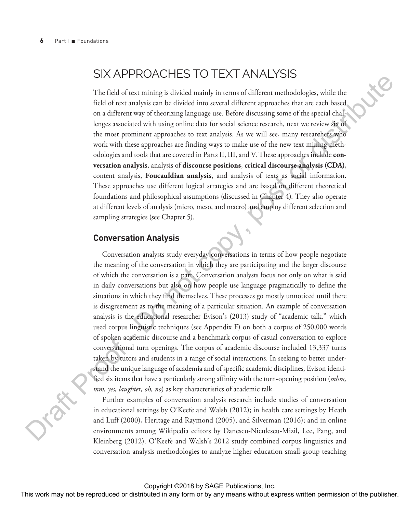# SIX APPROACHES TO TEXT ANALYSIS

The field of text mining is divided mainly in terms of different methodologies, while the field of text analysis can be divided into several different approaches that are each based on a different way of theorizing language use. Before discussing some of the special challenges associated with using online data for social science research, next we review six of the most prominent approaches to text analysis. As we will see, many researchers who work with these approaches are finding ways to make use of the new text mining methodologies and tools that are covered in Parts II, III, and V. These approaches include **conversation analysis**, analysis of **discourse positions**, **critical discourse analysis (CDA)**, content analysis, **Foucauldian analysis**, and analysis of texts as social information. These approaches use different logical strategies and are based on different theoretical foundations and philosophical assumptions (discussed in Chapter 4). They also operate at different levels of analysis (micro, meso, and macro) and employ different selection and sampling strategies (see Chapter 5).

#### **Conversation Analysis**

Conversation analysts study everyday conversations in terms of how people negotiate the meaning of the conversation in which they are participating and the larger discourse of which the conversation is a part. Conversation analysts focus not only on what is said in daily conversations but also on how people use language pragmatically to define the situations in which they find themselves. These processes go mostly unnoticed until there is disagreement as to the meaning of a particular situation. An example of conversation analysis is the educational researcher Evison's (2013) study of "academic talk," which used corpus linguistic techniques (see Appendix F) on both a corpus of 250,000 words of spoken academic discourse and a benchmark corpus of casual conversation to explore conversational turn openings. The corpus of academic discourse included 13,337 turns taken by tutors and students in a range of social interactions. In seeking to better understand the unique language of academia and of specific academic disciplines, Evison identified six items that have a particularly strong affinity with the turn-opening position (*mhm, mm, yes, laughter, oh, no*) as key characteristics of academic talk. The Find of restriction continue to be finded in to represent different methodologies, while the field of recent any form or be forical into second different appears that are each bustic published in any means where the r

Further examples of conversation analysis research include studies of conversation in educational settings by O'Keefe and Walsh (2012); in health care settings by Heath and Luff (2000), Heritage and Raymond (2005), and Silverman (2016); and in online environments among Wikipedia editors by Danescu-Niculescu-Mizil, Lee, Pang, and Kleinberg (2012). O'Keefe and Walsh's 2012 study combined corpus linguistics and conversation analysis methodologies to analyze higher education small-group teaching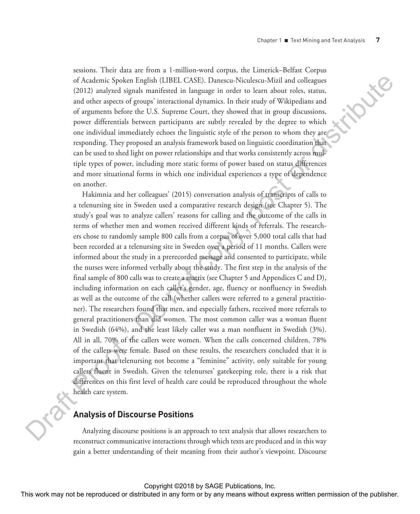sessions. Their data are from a 1-million-word corpus, the Limerick–Belfast Corpus of Academic Spoken English (LIBEL CASE). Danescu-Niculescu-Mizil and colleagues (2012) analyzed signals manifested in language in order to learn about roles, status, and other aspects of groups' interactional dynamics. In their study of Wikipedians and of arguments before the U.S. Supreme Court, they showed that in group discussions, power differentials between participants are subtly revealed by the degree to which one individual immediately echoes the linguistic style of the person to whom they are responding. They proposed an analysis framework based on linguistic coordination that can be used to shed light on power relationships and that works consistently across multiple types of power, including more static forms of power based on status differences and more situational forms in which one individual experiences a type of dependence on another.

Hakimnia and her colleagues' (2015) conversation analysis of transcripts of calls to a telenursing site in Sweden used a comparative research design (see Chapter 5). The study's goal was to analyze callers' reasons for calling and the outcome of the calls in terms of whether men and women received different kinds of referrals. The researchers chose to randomly sample 800 calls from a corpus of over 5,000 total calls that had been recorded at a telenursing site in Sweden over a period of 11 months. Callers were informed about the study in a prerecorded message and consented to participate, while the nurses were informed verbally about the study. The first step in the analysis of the final sample of 800 calls was to create a matrix (see Chapter 5 and Appendices C and D), including information on each caller's gender, age, fluency or nonfluency in Swedish as well as the outcome of the call (whether callers were referred to a general practitioner). The researchers found that men, and especially fathers, received more referrals to general practitioners than did women. The most common caller was a woman fluent in Swedish (64%), and the least likely caller was a man nonfluent in Swedish (3%). All in all, 70% of the callers were women. When the calls concerned children, 78% of the callers were female. Based on these results, the researchers concluded that it is important that telenursing not become a "feminine" activity, only suitable for young callers fluent in Swedish. Given the telenurses' gatekeeping role, there is a risk that differences on this first level of health care could be reproduced throughout the whole health care system. of Academic System English (10EEL CASE). Dansens-New finding colules are propriated in any form or any form or by Wingeless and order appoint the publisher and or distributed in any form or distributed in any form or by a

#### **Analysis of Discourse Positions**

Analyzing discourse positions is an approach to text analysis that allows researchers to reconstruct communicative interactions through which texts are produced and in this way gain a better understanding of their meaning from their author's viewpoint. Discourse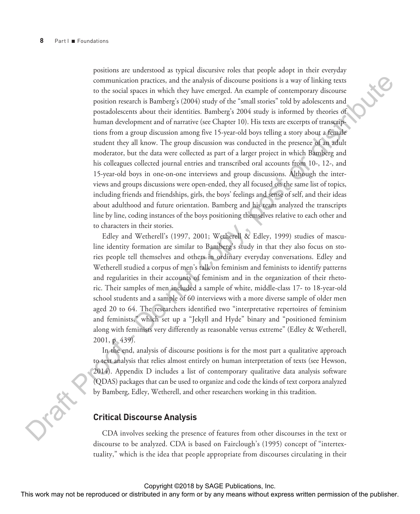positions are understood as typical discursive roles that people adopt in their everyday communication practices, and the analysis of discourse positions is a way of linking texts to the social spaces in which they have emerged. An example of contemporary discourse position research is Bamberg's (2004) study of the "small stories" told by adolescents and postadolescents about their identities. Bamberg's 2004 study is informed by theories of human development and of narrative (see Chapter 10). His texts are excerpts of transcriptions from a group discussion among five 15-year-old boys telling a story about a female student they all know. The group discussion was conducted in the presence of an adult moderator, but the data were collected as part of a larger project in which Bamberg and his colleagues collected journal entries and transcribed oral accounts from 10-, 12-, and 15-year-old boys in one-on-one interviews and group discussions. Although the interviews and groups discussions were open-ended, they all focused on the same list of topics, including friends and friendships, girls, the boys' feelings and sense of self, and their ideas about adulthood and future orientation. Bamberg and his team analyzed the transcripts line by line, coding instances of the boys positioning themselves relative to each other and to characters in their stories. Constrainting the rest or distributed in a may be reproduced or the rest or distributed in any form or between  $\sim$  positive permitted in any form or by any means weaker and the publisher. This means weaker or produced in

Edley and Wetherell's (1997, 2001; Wetherell & Edley, 1999) studies of masculine identity formation are similar to Bamberg's study in that they also focus on stories people tell themselves and others in ordinary everyday conversations. Edley and Wetherell studied a corpus of men's talk on feminism and feminists to identify patterns and regularities in their accounts of feminism and in the organization of their rhetoric. Their samples of men included a sample of white, middle-class 17- to 18-year-old school students and a sample of 60 interviews with a more diverse sample of older men aged 20 to 64. The researchers identified two "interpretative repertoires of feminism and feminists," which set up a "Jekyll and Hyde" binary and "positioned feminism along with feminists very differently as reasonable versus extreme" (Edley & Wetherell, 2001, p. 439).

In the end, analysis of discourse positions is for the most part a qualitative approach to text analysis that relies almost entirely on human interpretation of texts (see Hewson, 2014). Appendix D includes a list of contemporary qualitative data analysis software (QDAS) packages that can be used to organize and code the kinds of text corpora analyzed by Bamberg, Edley, Wetherell, and other researchers working in this tradition.

#### **Critical Discourse Analysis**

CDA involves seeking the presence of features from other discourses in the text or discourse to be analyzed. CDA is based on Fairclough's (1995) concept of "intertextuality," which is the idea that people appropriate from discourses circulating in their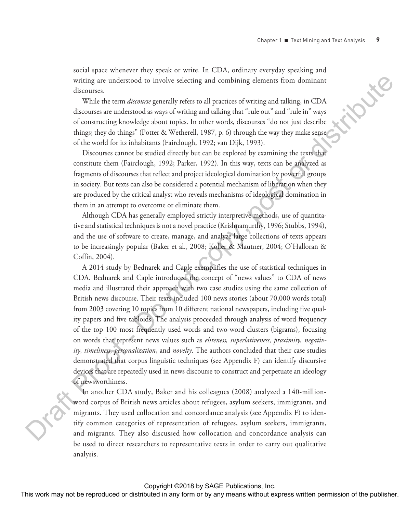social space whenever they speak or write. In CDA, ordinary everyday speaking and writing are understood to involve selecting and combining elements from dominant discourses.

While the term *discourse* generally refers to all practices of writing and talking, in CDA discourses are understood as ways of writing and talking that "rule out" and "rule in" ways of constructing knowledge about topics. In other words, discourses "do not just describe things; they do things" (Potter & Wetherell, 1987, p. 6) through the way they make sense of the world for its inhabitants (Fairclough, 1992; van Dijk, 1993).

Discourses cannot be studied directly but can be explored by examining the texts that constitute them (Fairclough, 1992; Parker, 1992). In this way, texts can be analyzed as fragments of discourses that reflect and project ideological domination by powerful groups in society. But texts can also be considered a potential mechanism of liberation when they are produced by the critical analyst who reveals mechanisms of ideological domination in them in an attempt to overcome or eliminate them.

Although CDA has generally employed strictly interpretive methods, use of quantitative and statistical techniques is not a novel practice (Krishnamurthy, 1996; Stubbs, 1994), and the use of software to create, manage, and analyze large collections of texts appears to be increasingly popular (Baker et al., 2008; Koller & Mautner, 2004; O'Halloran & Coffin, 2004).

A 2014 study by Bednarek and Caple exemplifies the use of statistical techniques in CDA. Bednarek and Caple introduced the concept of "news values" to CDA of news media and illustrated their approach with two case studies using the same collection of British news discourse. Their texts included 100 news stories (about 70,000 words total) from 2003 covering 10 topics from 10 different national newspapers, including five quality papers and five tabloids. The analysis proceeded through analysis of word frequency of the top 100 most frequently used words and two-word clusters (bigrams), focusing on words that represent news values such as *eliteness, superlativeness, proximity, negativity, timeliness, personalization*, and *novelty*. The authors concluded that their case studies demonstrated that corpus linguistic techniques (see Appendix F) can identify discursive devices that are repeatedly used in news discourse to construct and perpetuate an ideology of newsworthiness. withing work may not be reader to be reproduced as a precision of writting in CDA different may be reproduced or when  $\sim$  Both any form of the section of the publisher. The CDA different in a proof or counter or produced

In another CDA study, Baker and his colleagues (2008) analyzed a 140-millionword corpus of British news articles about refugees, asylum seekers, immigrants, and migrants. They used collocation and concordance analysis (see Appendix F) to identify common categories of representation of refugees, asylum seekers, immigrants, and migrants. They also discussed how collocation and concordance analysis can be used to direct researchers to representative texts in order to carry out qualitative analysis.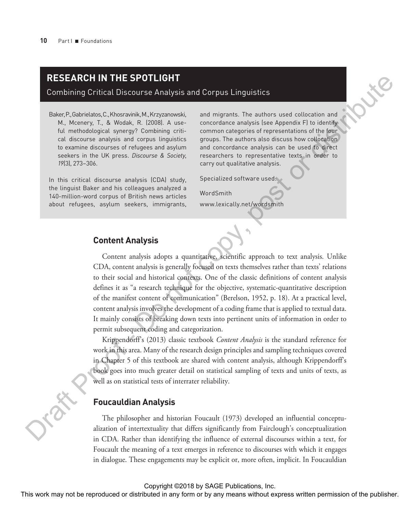### **RESEARCH IN THE SPOTLIGHT**

#### Combining Critical Discourse Analysis and Corpus Linguistics

Baker, P., Gabrielatos, C., Khosravinik, M., Krzyzanowski, M., Mcenery, T., & Wodak, R. (2008). A useful methodological synergy? Combining critical discourse analysis and corpus linguistics to examine discourses of refugees and asylum seekers in the UK press. *Discourse & Society*, *19*(3), 273–306.

In this critical discourse analysis (CDA) study, the linguist Baker and his colleagues analyzed a 140-million-word corpus of British news articles about refugees, asylum seekers, immigrants, and migrants. The authors used collocation and concordance analysis (see Appendix F) to identify common categories of representations of the four groups. The authors also discuss how collocation and concordance analysis can be used to direct researchers to representative texts in order to carry out qualitative analysis.

Specialized software used:

WordSmith www.lexically.net/wordsmith

#### **Content Analysis**

Content analysis adopts a quantitative, scientific approach to text analysis. Unlike CDA, content analysis is generally focused on texts themselves rather than texts' relations to their social and historical contexts. One of the classic definitions of content analysis defines it as "a research technique for the objective, systematic-quantitative description of the manifest content of communication" (Berelson, 1952, p. 18). At a practical level, content analysis involves the development of a coding frame that is applied to textual data. It mainly consists of breaking down texts into pertinent units of information in order to permit subsequent coding and categorization. RECARCHI WITH SPOTLIGHT<br>
Combined C. Assets and Corrust and Corrust in any test search as the search or but express with the search of the publisher of the publisher. The any of the publisher any interaction of the publis

Krippendorff's (2013) classic textbook *Content Analysis* is the standard reference for work in this area. Many of the research design principles and sampling techniques covered in Chapter 5 of this textbook are shared with content analysis, although Krippendorff's book goes into much greater detail on statistical sampling of texts and units of texts, as well as on statistical tests of interrater reliability.

#### **Foucauldian Analysis**

The philosopher and historian Foucault (1973) developed an influential conceptualization of intertextuality that differs significantly from Fairclough's conceptualization in CDA. Rather than identifying the influence of external discourses within a text, for Foucault the meaning of a text emerges in reference to discourses with which it engages in dialogue. These engagements may be explicit or, more often, implicit. In Foucauldian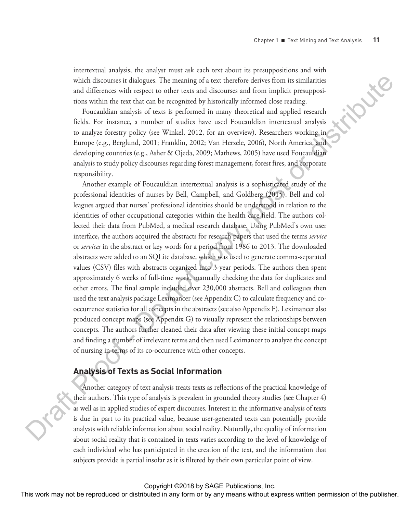intertextual analysis, the analyst must ask each text about its presuppositions and with which discourses it dialogues. The meaning of a text therefore derives from its similarities and differences with respect to other texts and discourses and from implicit presuppositions within the text that can be recognized by historically informed close reading.

Foucauldian analysis of texts is performed in many theoretical and applied research fields. For instance, a number of studies have used Foucauldian intertextual analysis to analyze forestry policy (see Winkel, 2012, for an overview). Researchers working in Europe (e.g., Berglund, 2001; Franklin, 2002; Van Herzele, 2006), North America, and developing countries (e.g., Asher & Ojeda, 2009; Mathews, 2005) have used Foucauldian analysis to study policy discourses regarding forest management, forest fires, and corporate responsibility.

Another example of Foucauldian intertextual analysis is a sophisticated study of the professional identities of nurses by Bell, Campbell, and Goldberg (2015). Bell and colleagues argued that nurses' professional identities should be understood in relation to the identities of other occupational categories within the health care field. The authors collected their data from PubMed, a medical research database. Using PubMed's own user interface, the authors acquired the abstracts for research papers that used the terms *service* or *services* in the abstract or key words for a period from 1986 to 2013. The downloaded abstracts were added to an SQLite database, which was used to generate comma-separated values (CSV) files with abstracts organized into 3-year periods. The authors then spent approximately 6 weeks of full-time work, manually checking the data for duplicates and other errors. The final sample included over 230,000 abstracts. Bell and colleagues then used the text analysis package Leximancer (see Appendix C) to calculate frequency and cooccurrence statistics for all concepts in the abstracts (see also Appendix F). Leximancer also produced concept maps (see Appendix G) to visually represent the relationships between concepts. The authors further cleaned their data after viewing these initial concept maps and finding a number of irrelevant terms and then used Leximancer to analyze the concept of nursing in terms of its co-occurrence with other concepts. which distributed in distributed in the result of the result of the result of the result of the result of the results of the results of the results of the results of the results of the publisher and the publisher of the p

#### **Analysis of Texts as Social Information**

Another category of text analysis treats texts as reflections of the practical knowledge of their authors. This type of analysis is prevalent in grounded theory studies (see Chapter 4) as well as in applied studies of expert discourses. Interest in the informative analysis of texts is due in part to its practical value, because user-generated texts can potentially provide analysts with reliable information about social reality. Naturally, the quality of information about social reality that is contained in texts varies according to the level of knowledge of each individual who has participated in the creation of the text, and the information that subjects provide is partial insofar as it is filtered by their own particular point of view.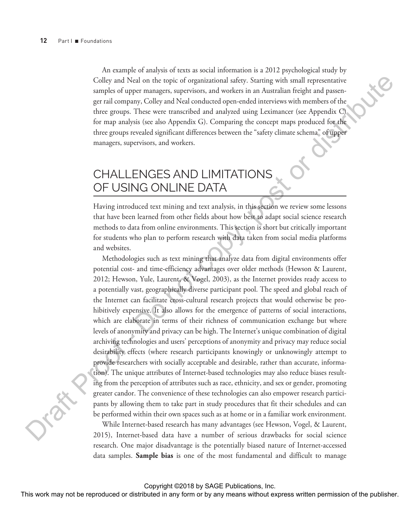An example of analysis of texts as social information is a 2012 psychological study by Colley and Neal on the topic of organizational safety. Starting with small representative samples of upper managers, supervisors, and workers in an Australian freight and passenger rail company, Colley and Neal conducted open-ended interviews with members of the three groups. These were transcribed and analyzed using Leximancer (see Appendix C) for map analysis (see also Appendix G). Comparing the concept maps produced for the three groups revealed significant differences between the "safety climate schema" of upper managers, supervisors, and workers.

# CHALLENGES AND LIMITATIONS OF USING ONLINE DATA

Having introduced text mining and text analysis, in this section we review some lessons that have been learned from other fields about how best to adapt social science research methods to data from online environments. This section is short but critically important for students who plan to perform research with data taken from social media platforms and websites.

Methodologies such as text mining that analyze data from digital environments offer potential cost- and time-efficiency advantages over older methods (Hewson & Laurent, 2012; Hewson, Yule, Laurent, & Vogel, 2003), as the Internet provides ready access to a potentially vast, geographically diverse participant pool. The speed and global reach of the Internet can facilitate cross-cultural research projects that would otherwise be prohibitively expensive. It also allows for the emergence of patterns of social interactions, which are elaborate in terms of their richness of communication exchange but where levels of anonymity and privacy can be high. The Internet's unique combination of digital archiving technologies and users' perceptions of anonymity and privacy may reduce social desirability effects (where research participants knowingly or unknowingly attempt to provide researchers with socially acceptable and desirable, rather than accurate, information). The unique attributes of Internet-based technologies may also reduce biases resulting from the perception of attributes such as race, ethnicity, and sex or gender, promoting greater candor. The convenience of these technologies can also empower research participants by allowing them to take part in study procedures that fit their schedules and can be performed within their own spaces such as at home or in a familiar work environment. Cally and Notice that or the reproduced or distributed in also, Samilyn with the reproduced or the medical interview with means with means with the publisher. The publisher and Notice the publishers with the publisher. Th

While Internet-based research has many advantages (see Hewson, Vogel, & Laurent, 2015), Internet-based data have a number of serious drawbacks for social science research. One major disadvantage is the potentially biased nature of Internet-accessed data samples. **Sample bias** is one of the most fundamental and difficult to manage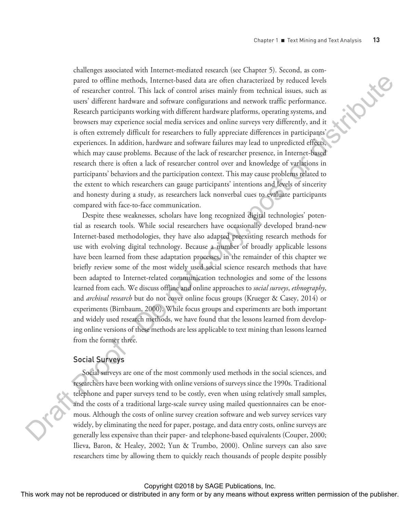challenges associated with Internet-mediated research (see Chapter 5). Second, as compared to offline methods, Internet-based data are often characterized by reduced levels of researcher control. This lack of control arises mainly from technical issues, such as users' different hardware and software configurations and network traffic performance. Research participants working with different hardware platforms, operating systems, and browsers may experience social media services and online surveys very differently, and it is often extremely difficult for researchers to fully appreciate differences in participants' experiences. In addition, hardware and software failures may lead to unpredicted effects, which may cause problems. Because of the lack of researcher presence, in Internet-based research there is often a lack of researcher control over and knowledge of variations in participants' behaviors and the participation context. This may cause problems related to the extent to which researchers can gauge participants' intentions and levels of sincerity and honesty during a study, as researchers lack nonverbal cues to evaluate participants compared with face-to-face communication. paid to collider the restricted or distributed in an endor distributed in any form or distributed in any form or by any means when the restributed in any means were produced in a specifical permission and responds the rep

Despite these weaknesses, scholars have long recognized digital technologies' potential as research tools. While social researchers have occasionally developed brand-new Internet-based methodologies, they have also adapted preexisting research methods for use with evolving digital technology. Because a number of broadly applicable lessons have been learned from these adaptation processes, in the remainder of this chapter we briefly review some of the most widely used social science research methods that have been adapted to Internet-related communication technologies and some of the lessons learned from each. We discuss offline and online approaches to *social surveys*, *ethnography*, and *archival research* but do not cover online focus groups (Krueger & Casey, 2014) or experiments (Birnbaum, 2000). While focus groups and experiments are both important and widely used research methods, we have found that the lessons learned from developing online versions of these methods are less applicable to text mining than lessons learned from the former three.

#### Social Surveys

Social surveys are one of the most commonly used methods in the social sciences, and researchers have been working with online versions of surveys since the 1990s. Traditional telephone and paper surveys tend to be costly, even when using relatively small samples, and the costs of a traditional large-scale survey using mailed questionnaires can be enormous. Although the costs of online survey creation software and web survey services vary widely, by eliminating the need for paper, postage, and data entry costs, online surveys are generally less expensive than their paper- and telephone-based equivalents (Couper, 2000; Ilieva, Baron, & Healey, 2002; Yun & Trumbo, 2000). Online surveys can also save researchers time by allowing them to quickly reach thousands of people despite possibly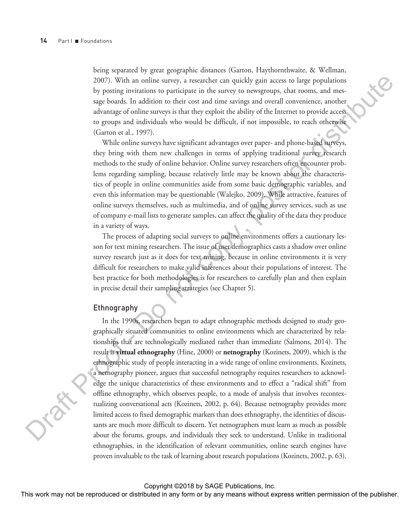being separated by great geographic distances (Garton, Haythornthwaite, & Wellman, 2007). With an online survey, a researcher can quickly gain access to large populations by posting invitations to participate in the survey to newsgroups, chat rooms, and message boards. In addition to their cost and time savings and overall convenience, another advantage of online surveys is that they exploit the ability of the Internet to provide access to groups and individuals who would be difficult, if not impossible, to reach otherwise (Garton et al., 1997).

While online surveys have significant advantages over paper- and phone-based surveys, they bring with them new challenges in terms of applying traditional survey research methods to the study of online behavior. Online survey researchers often encounter problems regarding sampling, because relatively little may be known about the characteristics of people in online communities aside from some basic demographic variables, and even this information may be questionable (Walejko, 2009). While attractive, features of online surveys themselves, such as multimedia, and of online survey services, such as use of company e-mail lists to generate samples, can affect the quality of the data they produce in a variety of ways.

The process of adapting social surveys to online environments offers a cautionary lesson for text mining researchers. The issue of user demographics casts a shadow over online survey research just as it does for text mining, because in online environments it is very difficult for researchers to make valid inferences about their populations of interest. The best practice for both methodologies is for researchers to carefully plan and then explain in precise detail their sampling strategies (see Chapter 5).

#### Ethnography

In the 1990s, researchers began to adapt ethnographic methods designed to study geographically situated communities to online environments which are characterized by relationships that are technologically mediated rather than immediate (Salmons, 2014). The result is **virtual ethnography** (Hine, 2000) or **netnography** (Kozinets, 2009), which is the ethnographic study of people interacting in a wide range of online environments. Kozinets, a netnography pioneer, argues that successful netnography requires researchers to acknowledge the unique characteristics of these environments and to effect a "radical shift" from offline ethnography, which observes people, to a mode of analysis that involves recontextualizing conversational acts (Kozinets, 2002, p. 64). Because netnography provides more limited access to fixed demographic markers than does ethnography, the identities of discussants are much more difficult to discern. Yet netnographers must learn as much as possible about the forums, groups, and individuals they seek to understand. Unlike in traditional ethnographies, in the identification of relevant communities, online search engines have proven invaluable to the task of learning about research populations (Kozinets, 2002, p. 63). 2007). While an existent controllation to the rest in a controllation or by any means with the result of the result of the result of the publisher. This were permission of the publisher and the any form or distributed in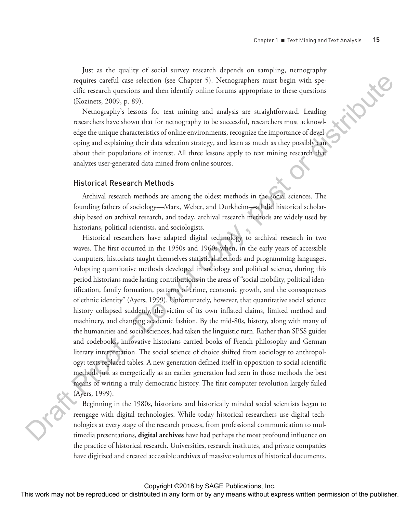Just as the quality of social survey research depends on sampling, netnography requires careful case selection (see Chapter 5). Netnographers must begin with specific research questions and then identify online forums appropriate to these questions (Kozinets, 2009, p. 89).

Netnography's lessons for text mining and analysis are straightforward. Leading researchers have shown that for netnography to be successful, researchers must acknowledge the unique characteristics of online environments, recognize the importance of developing and explaining their data selection strategy, and learn as much as they possibly can about their populations of interest. All three lessons apply to text mining research that analyzes user-generated data mined from online sources.

#### Historical Research Methods

Archival research methods are among the oldest methods in the social sciences. The founding fathers of sociology—Marx, Weber, and Durkheim—all did historical scholarship based on archival research, and today, archival research methods are widely used by historians, political scientists, and sociologists.

Historical researchers have adapted digital technology to archival research in two waves. The first occurred in the 1950s and 1960s when, in the early years of accessible computers, historians taught themselves statistical methods and programming languages. Adopting quantitative methods developed in sociology and political science, during this period historians made lasting contributions in the areas of "social mobility, political identification, family formation, patterns of crime, economic growth, and the consequences of ethnic identity" (Ayers, 1999). Unfortunately, however, that quantitative social science history collapsed suddenly, the victim of its own inflated claims, limited method and machinery, and changing academic fashion. By the mid-80s, history, along with many of the humanities and social sciences, had taken the linguistic turn. Rather than SPSS guides and codebooks, innovative historians carried books of French philosophy and German literary interpretation. The social science of choice shifted from sociology to anthropology; texts replaced tables. A new generation defined itself in opposition to social scientific methods just as energetically as an earlier generation had seen in those methods the best means of writing a truly democratic history. The first computer revolution largely failed (Ayers, 1999). The counter of the representation or the Context may be represented under the representation of the reproduced in any form or  $\sim$  2009. Necessary and the results were represented in any form or the results of the results

Beginning in the 1980s, historians and historically minded social scientists began to reengage with digital technologies. While today historical researchers use digital technologies at every stage of the research process, from professional communication to multimedia presentations, **digital archives** have had perhaps the most profound influence on the practice of historical research. Universities, research institutes, and private companies have digitized and created accessible archives of massive volumes of historical documents.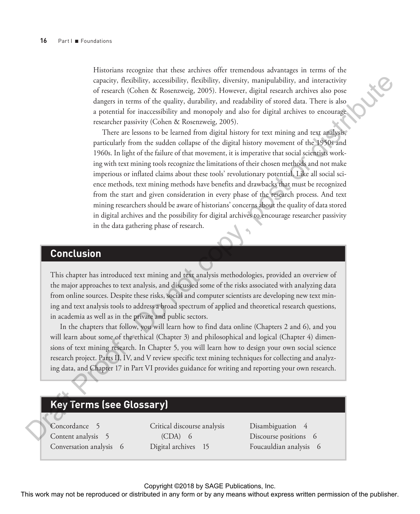Historians recognize that these archives offer tremendous advantages in terms of the capacity, flexibility, accessibility, flexibility, diversity, manipulability, and interactivity of research (Cohen & Rosenzweig, 2005). However, digital research archives also pose dangers in terms of the quality, durability, and readability of stored data. There is also a potential for inaccessibility and monopoly and also for digital archives to encourage researcher passivity (Cohen & Rosenzweig, 2005).

There are lessons to be learned from digital history for text mining and text analysis, particularly from the sudden collapse of the digital history movement of the 1950s and 1960s. In light of the failure of that movement, it is imperative that social scientists working with text mining tools recognize the limitations of their chosen methods and not make imperious or inflated claims about these tools' revolutionary potential. Like all social science methods, text mining methods have benefits and drawbacks that must be recognized from the start and given consideration in every phase of the research process. And text mining researchers should be aware of historians' concerns about the quality of data stored in digital archives and the possibility for digital archives to encourage researcher passivity in the data gathering phase of research. was in terms of the publisher, decising the relation of the publisher and any state of the publisher and the publisher and the higher and the publisher and the publisher. These is also any form of the publisher and the

# **Conclusion**

This chapter has introduced text mining and text analysis methodologies, provided an overview of the major approaches to text analysis, and discussed some of the risks associated with analyzing data from online sources. Despite these risks, social and computer scientists are developing new text mining and text analysis tools to address a broad spectrum of applied and theoretical research questions, in academia as well as in the private and public sectors.

In the chapters that follow, you will learn how to find data online (Chapters 2 and 6), and you will learn about some of the ethical (Chapter 3) and philosophical and logical (Chapter 4) dimensions of text mining research. In Chapter 5, you will learn how to design your own social science research project. Parts II, IV, and V review specific text mining techniques for collecting and analyzing data, and Chapter 17 in Part VI provides guidance for writing and reporting your own research.

# **Key Terms (see Glossary)**

Concordance 5 Content analysis 5 Conversation analysis 6 Critical discourse analysis (CDA) 6 Digital archives 15

Disambiguation 4 Discourse positions 6 Foucauldian analysis 6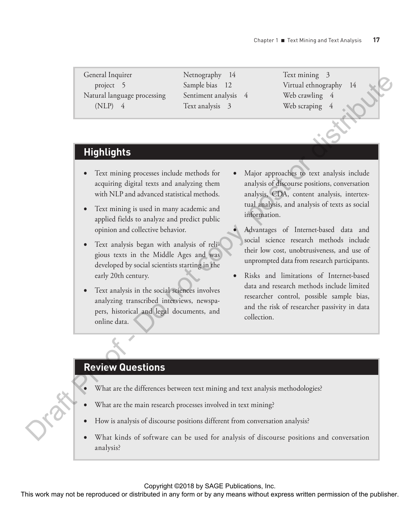| General Inquirer<br>project 5<br>Natural language processing<br>$(NLP)$ 4                                                                                                                                                                                                                                                                                                                                                                                                                                                                                                                                                                        | Netnography 14<br>Sample bias 12<br>Sentiment analysis 4<br>Text analysis 3 | Text mining 3<br>Virtual ethnography<br>14<br>Web crawling 4<br>Web scraping<br>4                                                                                                                                                                                                                                                                                                                                                                                                                                                                                                                |
|--------------------------------------------------------------------------------------------------------------------------------------------------------------------------------------------------------------------------------------------------------------------------------------------------------------------------------------------------------------------------------------------------------------------------------------------------------------------------------------------------------------------------------------------------------------------------------------------------------------------------------------------------|-----------------------------------------------------------------------------|--------------------------------------------------------------------------------------------------------------------------------------------------------------------------------------------------------------------------------------------------------------------------------------------------------------------------------------------------------------------------------------------------------------------------------------------------------------------------------------------------------------------------------------------------------------------------------------------------|
|                                                                                                                                                                                                                                                                                                                                                                                                                                                                                                                                                                                                                                                  |                                                                             |                                                                                                                                                                                                                                                                                                                                                                                                                                                                                                                                                                                                  |
| <b>Highlights</b><br>Text mining processes include methods for<br>acquiring digital texts and analyzing them<br>with NLP and advanced statistical methods.<br>Text mining is used in many academic and<br>$\bullet$<br>applied fields to analyze and predict public<br>opinion and collective behavior.<br>Text analysis began with analysis of reli-<br>gious texts in the Middle Ages and was<br>developed by social scientists starting in the<br>early 20th century.<br>Text analysis in the social sciences involves<br>$\bullet$<br>analyzing transcribed interviews, newspa-<br>pers, historical and legal documents, and<br>online data. |                                                                             | Major approaches to text analysis include<br>analysis of discourse positions, conversation<br>analysis, CDA, content analysis, intertex-<br>tual analysis, and analysis of texts as social<br>information.<br>Advantages of Internet-based data and<br>social science research methods include<br>their low cost, unobtrusiveness, and use of<br>unprompted data from research participants.<br>Risks and limitations of Internet-based<br>data and research methods include limited<br>researcher control, possible sample bias,<br>and the risk of researcher passivity in data<br>collection. |
| <b>Review Questions</b><br>What are the main research processes involved in text mining?<br>$\bullet$<br>How is analysis of discourse positions different from conversation analysis?<br>analysis?                                                                                                                                                                                                                                                                                                                                                                                                                                               |                                                                             | What are the differences between text mining and text analysis methodologies?<br>What kinds of software can be used for analysis of discourse positions and conversation                                                                                                                                                                                                                                                                                                                                                                                                                         |

# **Highlights**

- Text mining processes include methods for acquiring digital texts and analyzing them with NLP and advanced statistical methods.
- Text mining is used in many academic and applied fields to analyze and predict public opinion and collective behavior.
- Text analysis began with analysis of religious texts in the Middle Ages and was developed by social scientists starting in the early 20th century.
- Text analysis in the social sciences involves analyzing transcribed interviews, newspapers, historical and legal documents, and online data.
- Major approaches to text analysis include analysis of discourse positions, conversation analysis, CDA, content analysis, intertextual analysis, and analysis of texts as social information.
- Advantages of Internet-based data and social science research methods include their low cost, unobtrusiveness, and use of unprompted data from research participants.
- Risks and limitations of Internet-based data and research methods include limited researcher control, possible sample bias, and the risk of researcher passivity in data collection.

### **Review Questions**

- What are the differences between text mining and text analysis methodologies?
- What are the main research processes involved in text mining?
- How is analysis of discourse positions different from conversation analysis?
- What kinds of software can be used for analysis of discourse positions and conversation analysis?